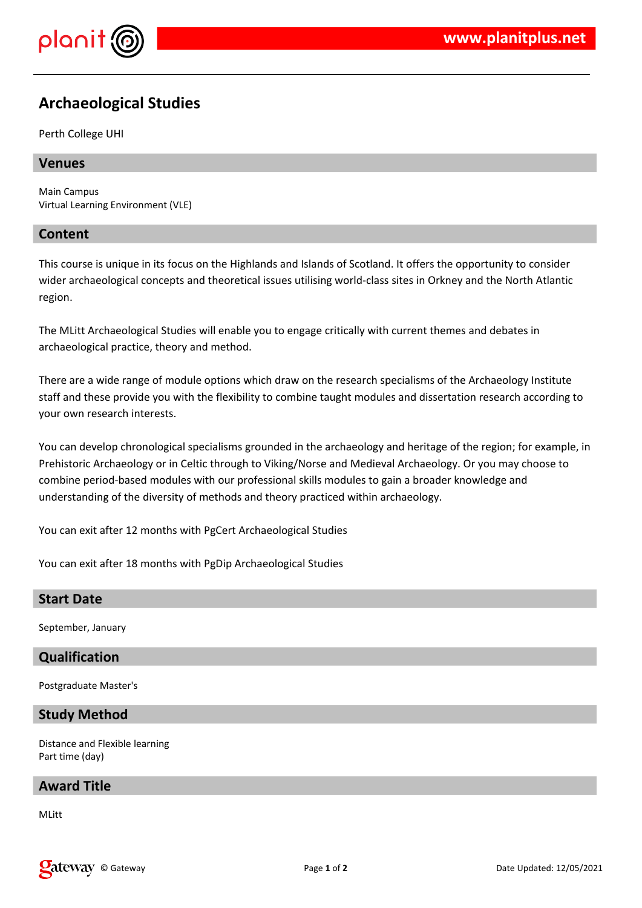

# **Archaeological Studies**

Perth College UHI

#### **Venues**

Main Campus Virtual Learning Environment (VLE)

#### **Content**

This course is unique in its focus on the Highlands and Islands of Scotland. It offers the opportunity to consider wider archaeological concepts and theoretical issues utilising world-class sites in Orkney and the North Atlantic region.

The MLitt Archaeological Studies will enable you to engage critically with current themes and debates in archaeological practice, theory and method.

There are a wide range of module options which draw on the research specialisms of the Archaeology Institute staff and these provide you with the flexibility to combine taught modules and dissertation research according to your own research interests.

You can develop chronological specialisms grounded in the archaeology and heritage of the region; for example, in Prehistoric Archaeology or in Celtic through to Viking/Norse and Medieval Archaeology. Or you may choose to combine period-based modules with our professional skills modules to gain a broader knowledge and understanding of the diversity of methods and theory practiced within archaeology.

You can exit after 12 months with PgCert Archaeological Studies

You can exit after 18 months with PgDip Archaeological Studies

#### **Start Date**

September, January

## **Qualification**

Postgraduate Master's

## **Study Method**

Distance and Flexible learning Part time (day)

#### **Award Title**

MLitt